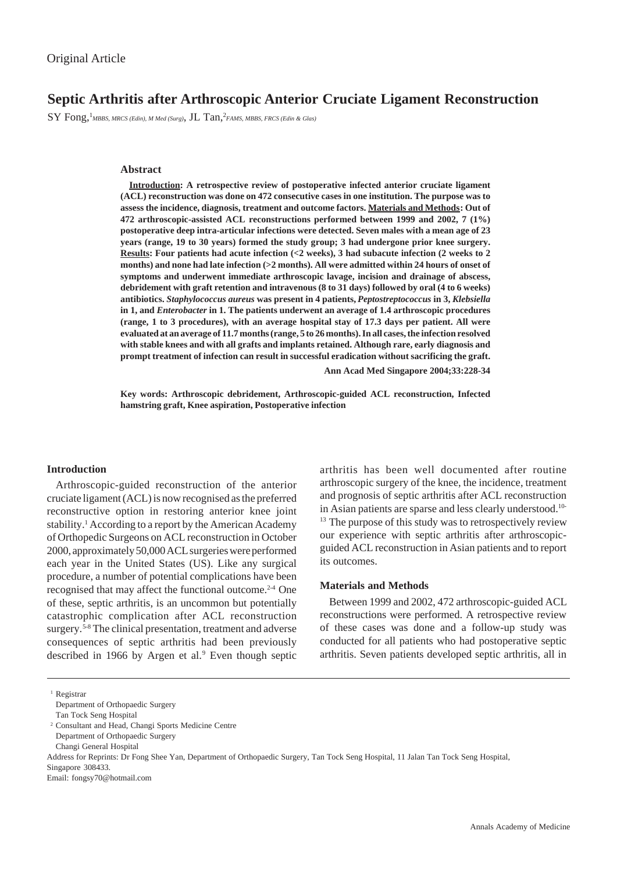# **Septic Arthritis after Arthroscopic Anterior Cruciate Ligament Reconstruction**

 $\text{SY} \text{ Fong,}^1$ MBBS, MRCS (Edin), M Med (Surg),  $\text{JL Tan,}^2$ FAMS, MBBS, FRCS (Edin & Glas)

### **Abstract**

**Introduction: A retrospective review of postoperative infected anterior cruciate ligament (ACL) reconstruction was done on 472 consecutive cases in one institution. The purpose was to assess the incidence, diagnosis, treatment and outcome factors. Materials and Methods: Out of 472 arthroscopic-assisted ACL reconstructions performed between 1999 and 2002, 7 (1%) postoperative deep intra-articular infections were detected. Seven males with a mean age of 23 years (range, 19 to 30 years) formed the study group; 3 had undergone prior knee surgery. Results: Four patients had acute infection (<2 weeks), 3 had subacute infection (2 weeks to 2 months) and none had late infection (>2 months). All were admitted within 24 hours of onset of symptoms and underwent immediate arthroscopic lavage, incision and drainage of abscess, debridement with graft retention and intravenous (8 to 31 days) followed by oral (4 to 6 weeks) antibiotics.** *Staphylococcus aureus* **was present in 4 patients,** *Peptostreptococcus* **in 3,** *Klebsiella* **in 1, and** *Enterobacter* **in 1. The patients underwent an average of 1.4 arthroscopic procedures (range, 1 to 3 procedures), with an average hospital stay of 17.3 days per patient. All were evaluated at an average of 11.7 months (range, 5 to 26 months). In all cases, the infection resolved with stable knees and with all grafts and implants retained. Although rare, early diagnosis and prompt treatment of infection can result in successful eradication without sacrificing the graft.**

**Ann Acad Med Singapore 2004;33:228-34**

**Key words: Arthroscopic debridement, Arthroscopic-guided ACL reconstruction, Infected hamstring graft, Knee aspiration, Postoperative infection**

#### **Introduction**

Arthroscopic-guided reconstruction of the anterior cruciate ligament (ACL) is now recognised as the preferred reconstructive option in restoring anterior knee joint stability.<sup>1</sup> According to a report by the American Academy of Orthopedic Surgeons on ACL reconstruction in October 2000, approximately 50,000 ACL surgeries were performed each year in the United States (US). Like any surgical procedure, a number of potential complications have been recognised that may affect the functional outcome.<sup>2-4</sup> One of these, septic arthritis, is an uncommon but potentially catastrophic complication after ACL reconstruction surgery.<sup>5-8</sup> The clinical presentation, treatment and adverse consequences of septic arthritis had been previously described in 1966 by Argen et al.<sup>9</sup> Even though septic

arthritis has been well documented after routine arthroscopic surgery of the knee, the incidence, treatment and prognosis of septic arthritis after ACL reconstruction in Asian patients are sparse and less clearly understood.10- <sup>13</sup> The purpose of this study was to retrospectively review our experience with septic arthritis after arthroscopicguided ACL reconstruction in Asian patients and to report its outcomes.

## **Materials and Methods**

Between 1999 and 2002, 472 arthroscopic-guided ACL reconstructions were performed. A retrospective review of these cases was done and a follow-up study was conducted for all patients who had postoperative septic arthritis. Seven patients developed septic arthritis, all in

Tan Tock Seng Hospital

<sup>&</sup>lt;sup>1</sup> Registrar

Department of Orthopaedic Surgery

<sup>2</sup> Consultant and Head, Changi Sports Medicine Centre

Department of Orthopaedic Surgery

Changi General Hospital

Address for Reprints: Dr Fong Shee Yan, Department of Orthopaedic Surgery, Tan Tock Seng Hospital, 11 Jalan Tan Tock Seng Hospital,

Singapore 308433.

Email: fongsy70@hotmail.com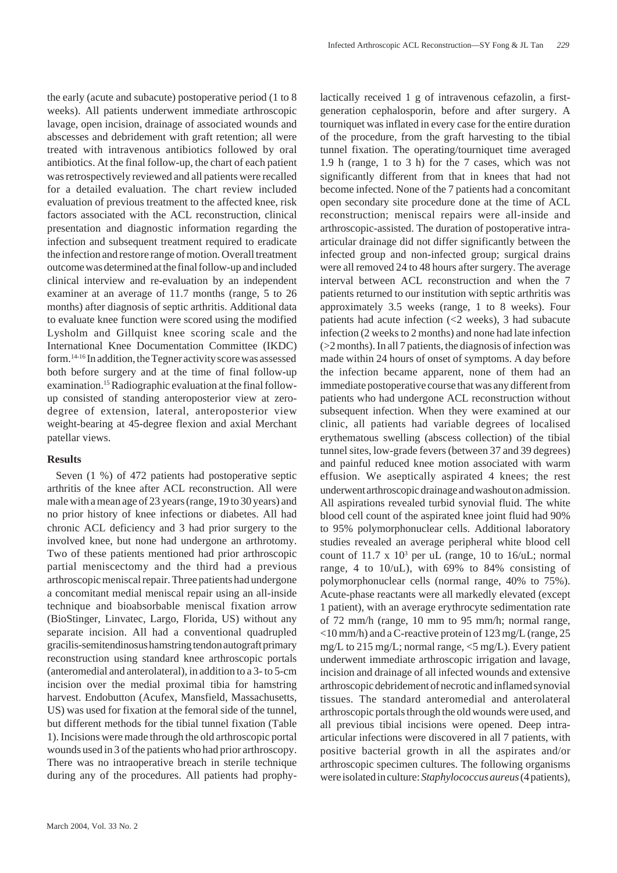the early (acute and subacute) postoperative period (1 to 8 weeks). All patients underwent immediate arthroscopic lavage, open incision, drainage of associated wounds and abscesses and debridement with graft retention; all were treated with intravenous antibiotics followed by oral antibiotics. At the final follow-up, the chart of each patient was retrospectively reviewed and all patients were recalled for a detailed evaluation. The chart review included evaluation of previous treatment to the affected knee, risk factors associated with the ACL reconstruction, clinical presentation and diagnostic information regarding the infection and subsequent treatment required to eradicate the infection and restore range of motion. Overall treatment outcome was determined at the final follow-up and included clinical interview and re-evaluation by an independent examiner at an average of 11.7 months (range, 5 to 26 months) after diagnosis of septic arthritis. Additional data to evaluate knee function were scored using the modified Lysholm and Gillquist knee scoring scale and the International Knee Documentation Committee (IKDC) form.14-16 In addition, the Tegner activity score was assessed both before surgery and at the time of final follow-up examination.<sup>15</sup> Radiographic evaluation at the final followup consisted of standing anteroposterior view at zerodegree of extension, lateral, anteroposterior view weight-bearing at 45-degree flexion and axial Merchant patellar views.

#### **Results**

Seven (1 %) of 472 patients had postoperative septic arthritis of the knee after ACL reconstruction. All were male with a mean age of 23 years (range, 19 to 30 years) and no prior history of knee infections or diabetes. All had chronic ACL deficiency and 3 had prior surgery to the involved knee, but none had undergone an arthrotomy. Two of these patients mentioned had prior arthroscopic partial meniscectomy and the third had a previous arthroscopic meniscal repair. Three patients had undergone a concomitant medial meniscal repair using an all-inside technique and bioabsorbable meniscal fixation arrow (BioStinger, Linvatec, Largo, Florida, US) without any separate incision. All had a conventional quadrupled gracilis-semitendinosus hamstring tendon autograft primary reconstruction using standard knee arthroscopic portals (anteromedial and anterolateral), in addition to a 3- to 5-cm incision over the medial proximal tibia for hamstring harvest. Endobutton (Acufex, Mansfield, Massachusetts, US) was used for fixation at the femoral side of the tunnel, but different methods for the tibial tunnel fixation (Table 1). Incisions were made through the old arthroscopic portal wounds used in 3 of the patients who had prior arthroscopy. There was no intraoperative breach in sterile technique during any of the procedures. All patients had prophy-

lactically received 1 g of intravenous cefazolin, a firstgeneration cephalosporin, before and after surgery. A tourniquet was inflated in every case for the entire duration of the procedure, from the graft harvesting to the tibial tunnel fixation. The operating/tourniquet time averaged 1.9 h (range, 1 to 3 h) for the 7 cases, which was not significantly different from that in knees that had not become infected. None of the 7 patients had a concomitant open secondary site procedure done at the time of ACL reconstruction; meniscal repairs were all-inside and arthroscopic-assisted. The duration of postoperative intraarticular drainage did not differ significantly between the infected group and non-infected group; surgical drains were all removed 24 to 48 hours after surgery. The average interval between ACL reconstruction and when the 7 patients returned to our institution with septic arthritis was approximately 3.5 weeks (range, 1 to 8 weeks). Four patients had acute infection  $\left( \langle 2 \rangle \right)$  weeks), 3 had subacute infection (2 weeks to 2 months) and none had late infection (>2 months). In all 7 patients, the diagnosis of infection was made within 24 hours of onset of symptoms. A day before the infection became apparent, none of them had an immediate postoperative course that was any different from patients who had undergone ACL reconstruction without subsequent infection. When they were examined at our clinic, all patients had variable degrees of localised erythematous swelling (abscess collection) of the tibial tunnel sites, low-grade fevers (between 37 and 39 degrees) and painful reduced knee motion associated with warm effusion. We aseptically aspirated 4 knees; the rest underwent arthroscopic drainage and washout on admission. All aspirations revealed turbid synovial fluid. The white blood cell count of the aspirated knee joint fluid had 90% to 95% polymorphonuclear cells. Additional laboratory studies revealed an average peripheral white blood cell count of 11.7 x  $10<sup>3</sup>$  per uL (range, 10 to 16/uL; normal range, 4 to 10/uL), with 69% to 84% consisting of polymorphonuclear cells (normal range, 40% to 75%). Acute-phase reactants were all markedly elevated (except 1 patient), with an average erythrocyte sedimentation rate of 72 mm/h (range, 10 mm to 95 mm/h; normal range, <10 mm/h) and a C-reactive protein of 123 mg/L (range, 25 mg/L to 215 mg/L; normal range, <5 mg/L). Every patient underwent immediate arthroscopic irrigation and lavage, incision and drainage of all infected wounds and extensive arthroscopic debridement of necrotic and inflamed synovial tissues. The standard anteromedial and anterolateral arthroscopic portals through the old wounds were used, and all previous tibial incisions were opened. Deep intraarticular infections were discovered in all 7 patients, with positive bacterial growth in all the aspirates and/or arthroscopic specimen cultures. The following organisms were isolated in culture: *Staphylococcus aureus* (4 patients),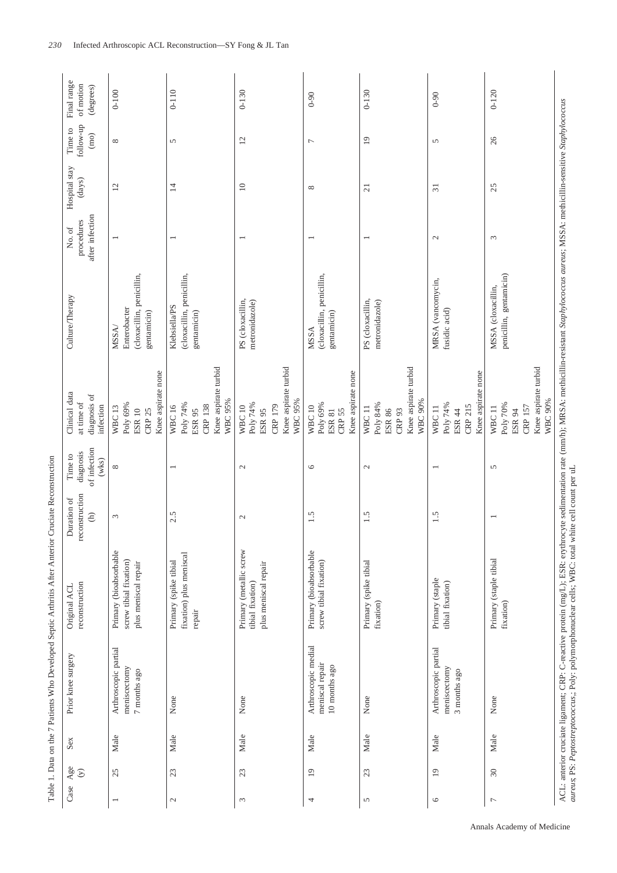|                            |      |                                                                                                    | Table 1. Data on the 7 Patients Who Developed Septic Arthritis After Anterior Cruciate Reconstruction                                                                                                      |                                                  |                                                  |                                                                                                |                                                                   |                                         |                         |                              |                                       |
|----------------------------|------|----------------------------------------------------------------------------------------------------|------------------------------------------------------------------------------------------------------------------------------------------------------------------------------------------------------------|--------------------------------------------------|--------------------------------------------------|------------------------------------------------------------------------------------------------|-------------------------------------------------------------------|-----------------------------------------|-------------------------|------------------------------|---------------------------------------|
| Age<br>$\odot$<br>Case     | Sex  | Prior knee surgery                                                                                 | reconstruction<br>Original ACL                                                                                                                                                                             | reconstruction<br>Duration of<br>$\widehat{\in}$ | of infection<br>diagnosis<br>Time to<br>$(w$ ks) | Clinical data<br>diagnosis of<br>at time of<br>infection                                       | Culture/Therapy                                                   | after infection<br>procedures<br>No. of | Hospital stay<br>(days) | follow-up<br>Time to<br>(mo) | Final range<br>of motion<br>(degrees) |
| 25                         | Male | Arthroscopic partial<br>meniscectomy<br>7 months ago                                               | Primary (bioabsorbable<br>screw tibial fixation)<br>plus meniscal repair                                                                                                                                   | $\epsilon$                                       | ${}^{\infty}$                                    | Knee aspirate none<br>Poly 69%<br><b>WBC13</b><br><b>ESR 10</b><br><b>CRP 25</b>               | (cloxacillin, penicillin,<br>Enterobacter<br>gentamicin)<br>MSSA/ |                                         | $\overline{12}$         | ${}^{\infty}$                | $0 - 100$                             |
| 23<br>$\mathcal{L}$        | Male | None                                                                                               | fixation) plus meniscal<br>Primary (spike tibial<br>repair                                                                                                                                                 | 2.5                                              | $\overline{\phantom{0}}$                         | Knee aspirate turbid<br>WBC 95%<br>Poly 74%<br><b>CRP 138</b><br><b>WBC16</b><br><b>ESR 95</b> | (cloxacillin, penicillin,<br>Klebsiella/PS<br>gentamicin)         | $\overline{\phantom{0}}$                | $\overline{1}$          | 5                            | $0 - 110$                             |
| 23<br>$\sim$               | Male | None                                                                                               | Primary (metallic screw<br>plus meniscal repair<br>tibial fixation)                                                                                                                                        | $\mathcal{L}$                                    | $\mathcal{L}$                                    | Knee aspirate turbid<br>WBC 95%<br>Poly 74%<br>CRP 179<br>WBC <sub>10</sub><br>ESR 95          | PS (cloxacillin,<br>metronidazole)                                | $\overline{ }$                          | $\equiv$                | 12                           | $0 - 130$                             |
| $\overline{19}$<br>4       | Male | Arthroscopic medial<br>meniscal repair<br>10 months ago                                            | Primary (bioabsorbable<br>screw tibial fixation)                                                                                                                                                           | 1.5                                              | $\circ$                                          | Knee aspirate none<br>Poly 69%<br><b>WBC10</b><br><b>CRP 55</b><br><b>ESR 81</b>               | (cloxacillin, penicillin,<br>gentamicin)<br><b>MSSA</b>           |                                         | $\infty$                | $\overline{ }$               | $0 - 90$                              |
| 23<br>$\mathbf{\hat{S}}$   | Male | None                                                                                               | Primary (spike tibial<br>fixation)                                                                                                                                                                         | 1.5                                              | $\mathcal{L}$                                    | Knee aspirate turbid<br>WBC 90%<br>Poly 84%<br>WBC <sub>11</sub><br>ESR 86<br>CRP 93           | PS (cloxacillin,<br>metronidazole)                                | $\overline{\phantom{0}}$                | $\overline{21}$         | $\overline{19}$              | $0 - 130$                             |
| $\overline{19}$<br>$\circ$ | Male | Arthroscopic partial<br>meniscectomy<br>3 months ago                                               | Primary (staple<br>tibial fixation)                                                                                                                                                                        | 1.5                                              |                                                  | Knee aspirate none<br>Poly 74%<br>CRP 215<br>WBC <sub>11</sub><br>ESR 44                       | MRSA (vancomycin,<br>fusidic acid)                                | $\mathcal{L}$                           | $\overline{31}$         | 5                            | $0 - 90$                              |
| $30\,$<br>$\overline{ }$   | Male | None                                                                                               | Primary (staple tibial<br>fixation)                                                                                                                                                                        |                                                  | $\overline{5}$                                   | Knee aspirate turbid<br>WBC 90%<br>Poly 70%<br><b>CRP 157</b><br>WBC <sub>11</sub><br>ESR 94   | penicillin, gentamicin)<br>MSSA (cloxacillin,                     | $\epsilon$                              | 25                      | 26                           | $0 - 120$                             |
|                            |      | aureus; PS: Peptostreptococcus;; Poly: polymorphonuclear cells; WBC: total white cell count per uL | ACL: anterior cruciate ligament; CRP: C-reactive protein (mg/L); ESR: erythrocyte sedimentation rate (mm/h); MRSA: methicillin-resistant Staphylococcus aureus; MSSA: methicillin-sensitive Staphylococcus |                                                  |                                                  |                                                                                                |                                                                   |                                         |                         |                              |                                       |

Annals Academy of Medicine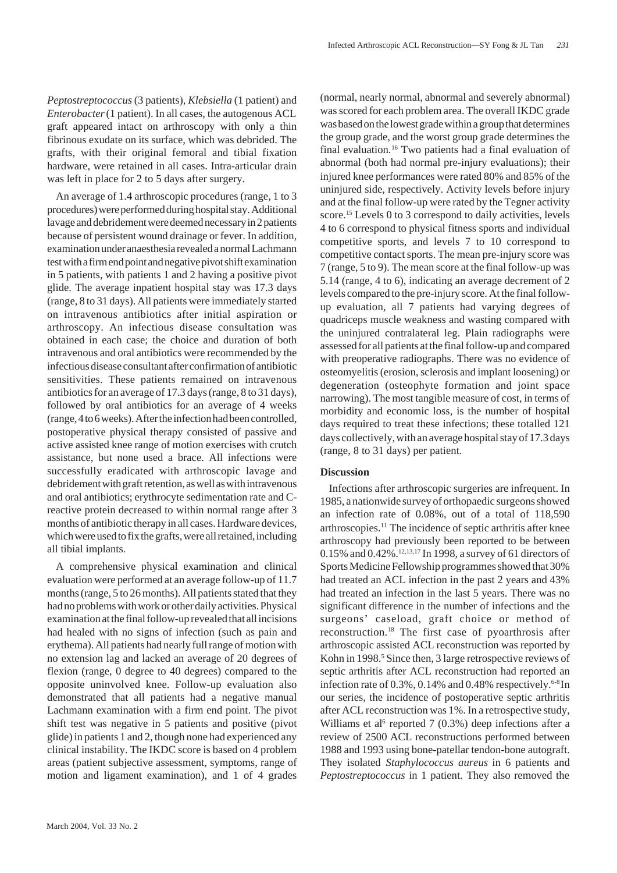*Peptostreptococcus* (3 patients), *Klebsiella* (1 patient) and *Enterobacter* (1 patient). In all cases, the autogenous ACL graft appeared intact on arthroscopy with only a thin fibrinous exudate on its surface, which was debrided. The grafts, with their original femoral and tibial fixation hardware, were retained in all cases. Intra-articular drain was left in place for 2 to 5 days after surgery.

An average of 1.4 arthroscopic procedures (range, 1 to 3 procedures) were performed during hospital stay. Additional lavage and debridement were deemed necessary in 2 patients because of persistent wound drainage or fever. In addition, examination under anaesthesia revealed a normal Lachmann test with a firm end point and negative pivot shift examination in 5 patients, with patients 1 and 2 having a positive pivot glide. The average inpatient hospital stay was 17.3 days (range, 8 to 31 days). All patients were immediately started on intravenous antibiotics after initial aspiration or arthroscopy. An infectious disease consultation was obtained in each case; the choice and duration of both intravenous and oral antibiotics were recommended by the infectious disease consultant after confirmation of antibiotic sensitivities. These patients remained on intravenous antibiotics for an average of 17.3 days (range, 8 to 31 days), followed by oral antibiotics for an average of 4 weeks (range, 4 to 6 weeks). After the infection had been controlled, postoperative physical therapy consisted of passive and active assisted knee range of motion exercises with crutch assistance, but none used a brace. All infections were successfully eradicated with arthroscopic lavage and debridement with graft retention, as well as with intravenous and oral antibiotics; erythrocyte sedimentation rate and Creactive protein decreased to within normal range after 3 months of antibiotic therapy in all cases. Hardware devices, which were used to fix the grafts, were all retained, including all tibial implants.

A comprehensive physical examination and clinical evaluation were performed at an average follow-up of 11.7 months (range, 5 to 26 months). All patients stated that they had no problems with work or other daily activities. Physical examination at the final follow-up revealed that all incisions had healed with no signs of infection (such as pain and erythema). All patients had nearly full range of motion with no extension lag and lacked an average of 20 degrees of flexion (range, 0 degree to 40 degrees) compared to the opposite uninvolved knee. Follow-up evaluation also demonstrated that all patients had a negative manual Lachmann examination with a firm end point. The pivot shift test was negative in 5 patients and positive (pivot glide) in patients 1 and 2, though none had experienced any clinical instability. The IKDC score is based on 4 problem areas (patient subjective assessment, symptoms, range of motion and ligament examination), and 1 of 4 grades

(normal, nearly normal, abnormal and severely abnormal) was scored for each problem area. The overall IKDC grade was based on the lowest grade within a group that determines the group grade, and the worst group grade determines the final evaluation.<sup>16</sup> Two patients had a final evaluation of abnormal (both had normal pre-injury evaluations); their injured knee performances were rated 80% and 85% of the uninjured side, respectively. Activity levels before injury and at the final follow-up were rated by the Tegner activity score.<sup>15</sup> Levels 0 to 3 correspond to daily activities, levels 4 to 6 correspond to physical fitness sports and individual competitive sports, and levels 7 to 10 correspond to competitive contact sports. The mean pre-injury score was 7 (range, 5 to 9). The mean score at the final follow-up was 5.14 (range, 4 to 6), indicating an average decrement of 2 levels compared to the pre-injury score. At the final followup evaluation, all 7 patients had varying degrees of quadriceps muscle weakness and wasting compared with the uninjured contralateral leg. Plain radiographs were assessed for all patients at the final follow-up and compared with preoperative radiographs. There was no evidence of osteomyelitis (erosion, sclerosis and implant loosening) or degeneration (osteophyte formation and joint space narrowing). The most tangible measure of cost, in terms of morbidity and economic loss, is the number of hospital days required to treat these infections; these totalled 121 days collectively, with an average hospital stay of 17.3 days (range, 8 to 31 days) per patient.

## **Discussion**

Infections after arthroscopic surgeries are infrequent. In 1985, a nationwide survey of orthopaedic surgeons showed an infection rate of 0.08%, out of a total of 118,590 arthroscopies.11 The incidence of septic arthritis after knee arthroscopy had previously been reported to be between 0.15% and 0.42%.12,13,17 In 1998, a survey of 61 directors of Sports Medicine Fellowship programmes showed that 30% had treated an ACL infection in the past 2 years and 43% had treated an infection in the last 5 years. There was no significant difference in the number of infections and the surgeons' caseload, graft choice or method of reconstruction.18 The first case of pyoarthrosis after arthroscopic assisted ACL reconstruction was reported by Kohn in 1998.<sup>5</sup> Since then, 3 large retrospective reviews of septic arthritis after ACL reconstruction had reported an infection rate of 0.3%, 0.14% and 0.48% respectively.<sup>6-8</sup>In our series, the incidence of postoperative septic arthritis after ACL reconstruction was 1%. In a retrospective study, Williams et al<sup>6</sup> reported 7 (0.3%) deep infections after a review of 2500 ACL reconstructions performed between 1988 and 1993 using bone-patellar tendon-bone autograft. They isolated *Staphylococcus aureus* in 6 patients and *Peptostreptococcus* in 1 patient. They also removed the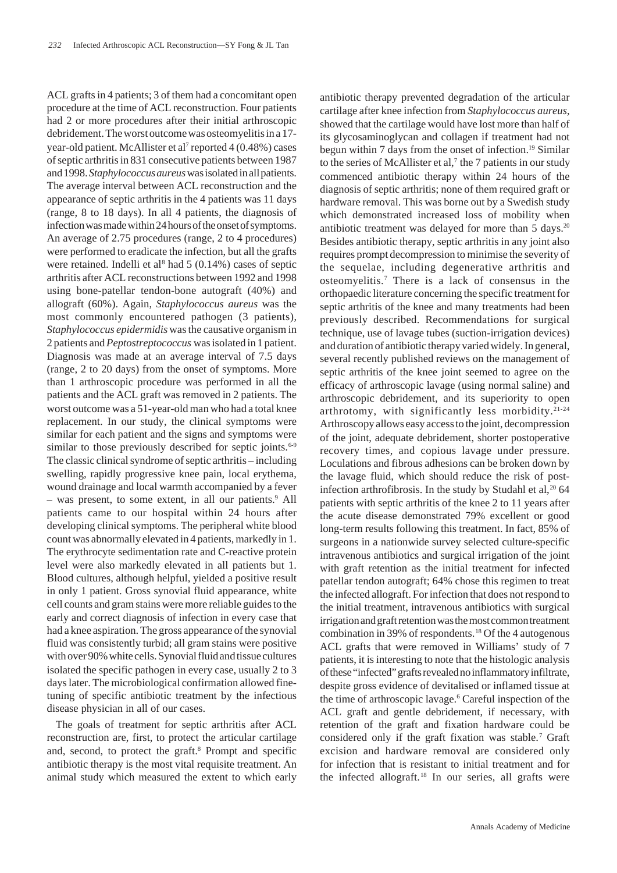ACL grafts in 4 patients; 3 of them had a concomitant open procedure at the time of ACL reconstruction. Four patients had 2 or more procedures after their initial arthroscopic debridement. The worst outcome was osteomyelitis in a 17 year-old patient. McAllister et al<sup>7</sup> reported 4 (0.48%) cases of septic arthritis in 831 consecutive patients between 1987 and 1998. *Staphylococcus aureus* was isolated in all patients. The average interval between ACL reconstruction and the appearance of septic arthritis in the 4 patients was 11 days (range, 8 to 18 days). In all 4 patients, the diagnosis of infection was made within 24 hours of the onset of symptoms. An average of 2.75 procedures (range, 2 to 4 procedures) were performed to eradicate the infection, but all the grafts were retained. Indelli et al<sup>8</sup> had 5 (0.14%) cases of septic arthritis after ACL reconstructions between 1992 and 1998 using bone-patellar tendon-bone autograft (40%) and allograft (60%). Again, *Staphylococcus aureus* was the most commonly encountered pathogen (3 patients), *Staphylococcus epidermidis* was the causative organism in 2 patients and *Peptostreptococcus* was isolated in 1 patient. Diagnosis was made at an average interval of 7.5 days (range, 2 to 20 days) from the onset of symptoms. More than 1 arthroscopic procedure was performed in all the patients and the ACL graft was removed in 2 patients. The worst outcome was a 51-year-old man who had a total knee replacement. In our study, the clinical symptoms were similar for each patient and the signs and symptoms were similar to those previously described for septic joints.<sup>6-9</sup> The classic clinical syndrome of septic arthritis – including swelling, rapidly progressive knee pain, local erythema, wound drainage and local warmth accompanied by a fever – was present, to some extent, in all our patients.<sup>9</sup> All patients came to our hospital within 24 hours after developing clinical symptoms. The peripheral white blood count was abnormally elevated in 4 patients, markedly in 1. The erythrocyte sedimentation rate and C-reactive protein level were also markedly elevated in all patients but 1. Blood cultures, although helpful, yielded a positive result in only 1 patient. Gross synovial fluid appearance, white cell counts and gram stains were more reliable guides to the early and correct diagnosis of infection in every case that had a knee aspiration. The gross appearance of the synovial fluid was consistently turbid; all gram stains were positive with over 90% white cells. Synovial fluid and tissue cultures isolated the specific pathogen in every case, usually 2 to 3 days later. The microbiological confirmation allowed finetuning of specific antibiotic treatment by the infectious disease physician in all of our cases.

The goals of treatment for septic arthritis after ACL reconstruction are, first, to protect the articular cartilage and, second, to protect the graft.<sup>8</sup> Prompt and specific antibiotic therapy is the most vital requisite treatment. An animal study which measured the extent to which early antibiotic therapy prevented degradation of the articular cartilage after knee infection from *Staphylococcus aureus*, showed that the cartilage would have lost more than half of its glycosaminoglycan and collagen if treatment had not begun within 7 days from the onset of infection.<sup>19</sup> Similar to the series of McAllister et al,<sup>7</sup> the 7 patients in our study commenced antibiotic therapy within 24 hours of the diagnosis of septic arthritis; none of them required graft or hardware removal. This was borne out by a Swedish study which demonstrated increased loss of mobility when antibiotic treatment was delayed for more than 5 days.<sup>20</sup> Besides antibiotic therapy, septic arthritis in any joint also requires prompt decompression to minimise the severity of the sequelae, including degenerative arthritis and osteomyelitis.7 There is a lack of consensus in the orthopaedic literature concerning the specific treatment for septic arthritis of the knee and many treatments had been previously described. Recommendations for surgical technique, use of lavage tubes (suction-irrigation devices) and duration of antibiotic therapy varied widely. In general, several recently published reviews on the management of septic arthritis of the knee joint seemed to agree on the efficacy of arthroscopic lavage (using normal saline) and arthroscopic debridement, and its superiority to open arthrotomy, with significantly less morbidity.21-24 Arthroscopy allows easy access to the joint, decompression of the joint, adequate debridement, shorter postoperative recovery times, and copious lavage under pressure. Loculations and fibrous adhesions can be broken down by the lavage fluid, which should reduce the risk of postinfection arthrofibrosis. In the study by Studahl et al,  $20\,64$ patients with septic arthritis of the knee 2 to 11 years after the acute disease demonstrated 79% excellent or good long-term results following this treatment. In fact, 85% of surgeons in a nationwide survey selected culture-specific intravenous antibiotics and surgical irrigation of the joint with graft retention as the initial treatment for infected patellar tendon autograft; 64% chose this regimen to treat the infected allograft. For infection that does not respond to the initial treatment, intravenous antibiotics with surgical irrigation and graft retention was the most common treatment combination in 39% of respondents.18 Of the 4 autogenous ACL grafts that were removed in Williams' study of 7 patients, it is interesting to note that the histologic analysis of these "infected" grafts revealed no inflammatory infiltrate, despite gross evidence of devitalised or inflamed tissue at the time of arthroscopic lavage.<sup>6</sup> Careful inspection of the ACL graft and gentle debridement, if necessary, with retention of the graft and fixation hardware could be considered only if the graft fixation was stable.<sup>7</sup> Graft excision and hardware removal are considered only for infection that is resistant to initial treatment and for the infected allograft.18 In our series, all grafts were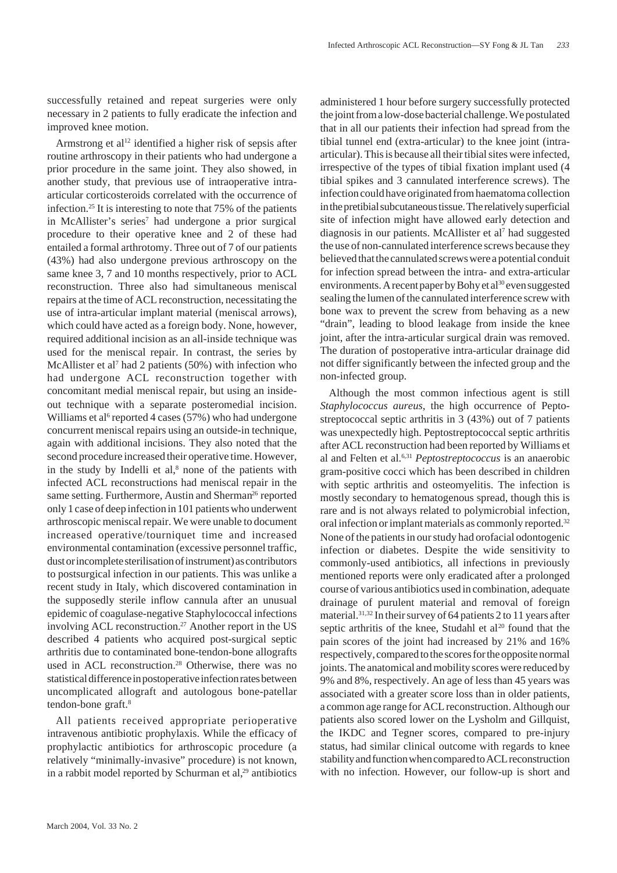successfully retained and repeat surgeries were only necessary in 2 patients to fully eradicate the infection and improved knee motion.

Armstrong et al<sup>12</sup> identified a higher risk of sepsis after routine arthroscopy in their patients who had undergone a prior procedure in the same joint. They also showed, in another study, that previous use of intraoperative intraarticular corticosteroids correlated with the occurrence of infection.25 It is interesting to note that 75% of the patients in McAllister's series<sup>7</sup> had undergone a prior surgical procedure to their operative knee and 2 of these had entailed a formal arthrotomy. Three out of 7 of our patients (43%) had also undergone previous arthroscopy on the same knee 3, 7 and 10 months respectively, prior to ACL reconstruction. Three also had simultaneous meniscal repairs at the time of ACL reconstruction, necessitating the use of intra-articular implant material (meniscal arrows), which could have acted as a foreign body. None, however, required additional incision as an all-inside technique was used for the meniscal repair. In contrast, the series by McAllister et al<sup>7</sup> had 2 patients (50%) with infection who had undergone ACL reconstruction together with concomitant medial meniscal repair, but using an insideout technique with a separate posteromedial incision. Williams et al<sup>6</sup> reported 4 cases (57%) who had undergone concurrent meniscal repairs using an outside-in technique, again with additional incisions. They also noted that the second procedure increased their operative time. However, in the study by Indelli et  $al$ , $\delta$  none of the patients with infected ACL reconstructions had meniscal repair in the same setting. Furthermore, Austin and Sherman<sup>26</sup> reported only 1 case of deep infection in 101 patients who underwent arthroscopic meniscal repair. We were unable to document increased operative/tourniquet time and increased environmental contamination (excessive personnel traffic, dust or incomplete sterilisation of instrument) as contributors to postsurgical infection in our patients. This was unlike a recent study in Italy, which discovered contamination in the supposedly sterile inflow cannula after an unusual epidemic of coagulase-negative Staphylococcal infections involving ACL reconstruction.<sup>27</sup> Another report in the US described 4 patients who acquired post-surgical septic arthritis due to contaminated bone-tendon-bone allografts used in ACL reconstruction.<sup>28</sup> Otherwise, there was no statistical difference in postoperative infection rates between uncomplicated allograft and autologous bone-patellar tendon-bone graft.<sup>8</sup>

All patients received appropriate perioperative intravenous antibiotic prophylaxis. While the efficacy of prophylactic antibiotics for arthroscopic procedure (a relatively "minimally-invasive" procedure) is not known, in a rabbit model reported by Schurman et  $al$ ,<sup>29</sup> antibiotics

administered 1 hour before surgery successfully protected the joint from a low-dose bacterial challenge. We postulated that in all our patients their infection had spread from the tibial tunnel end (extra-articular) to the knee joint (intraarticular). This is because all their tibial sites were infected, irrespective of the types of tibial fixation implant used (4 tibial spikes and 3 cannulated interference screws). The infection could have originated from haematoma collection in the pretibial subcutaneous tissue. The relatively superficial site of infection might have allowed early detection and diagnosis in our patients. McAllister et al7 had suggested the use of non-cannulated interference screws because they believed that the cannulated screws were a potential conduit for infection spread between the intra- and extra-articular environments. A recent paper by Bohy et al<sup>30</sup> even suggested sealing the lumen of the cannulated interference screw with bone wax to prevent the screw from behaving as a new "drain", leading to blood leakage from inside the knee joint, after the intra-articular surgical drain was removed. The duration of postoperative intra-articular drainage did not differ significantly between the infected group and the non-infected group.

Although the most common infectious agent is still *Staphylococcus aureus*, the high occurrence of Peptostreptococcal septic arthritis in 3 (43%) out of 7 patients was unexpectedly high. Peptostreptococcal septic arthritis after ACL reconstruction had been reported by Williams et al and Felten et al.6,31 *Peptostreptococcus* is an anaerobic gram-positive cocci which has been described in children with septic arthritis and osteomyelitis. The infection is mostly secondary to hematogenous spread, though this is rare and is not always related to polymicrobial infection, oral infection or implant materials as commonly reported.32 None of the patients in our study had orofacial odontogenic infection or diabetes. Despite the wide sensitivity to commonly-used antibiotics, all infections in previously mentioned reports were only eradicated after a prolonged course of various antibiotics used in combination, adequate drainage of purulent material and removal of foreign material.31,32 In their survey of 64 patients 2 to 11 years after septic arthritis of the knee, Studahl et al<sup>20</sup> found that the pain scores of the joint had increased by 21% and 16% respectively, compared to the scores for the opposite normal joints. The anatomical and mobility scores were reduced by 9% and 8%, respectively. An age of less than 45 years was associated with a greater score loss than in older patients, a common age range for ACL reconstruction. Although our patients also scored lower on the Lysholm and Gillquist, the IKDC and Tegner scores, compared to pre-injury status, had similar clinical outcome with regards to knee stability and function when compared to ACL reconstruction with no infection. However, our follow-up is short and